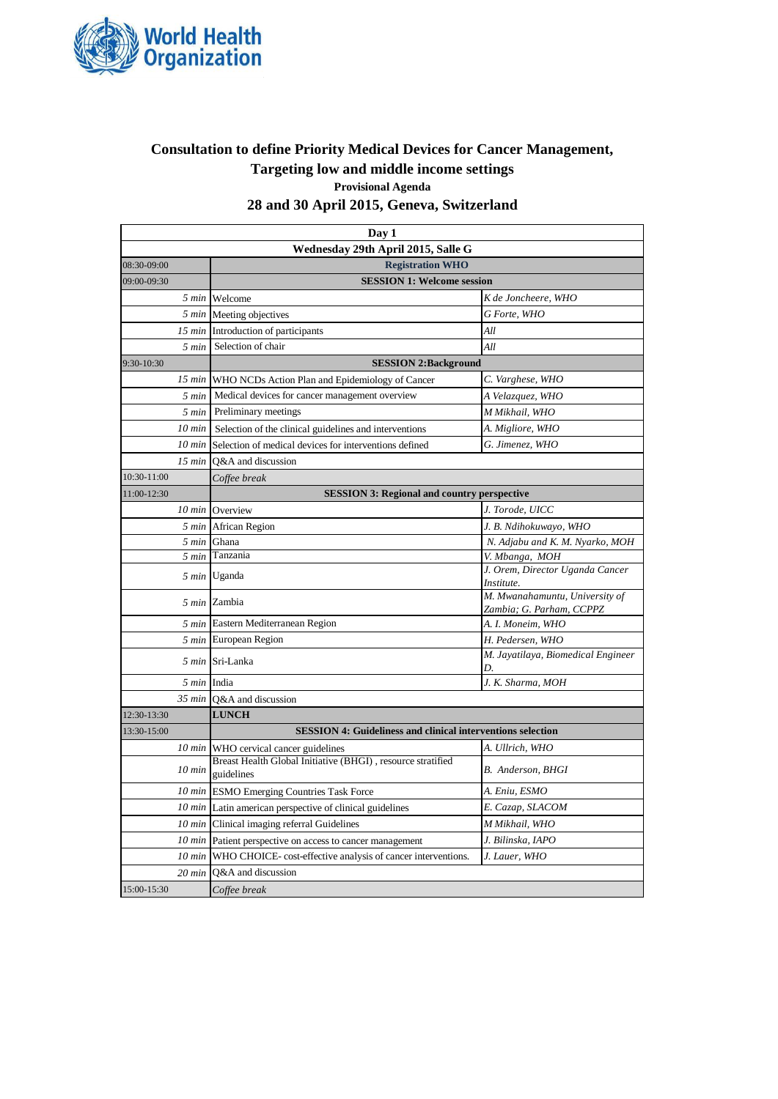

## **Provisional Agenda Consultation to define Priority Medical Devices for Cancer Management, Targeting low and middle income settings**

# **28 and 30 April 2015, Geneva, Switzerland**

| Day 1                              |                                                                           |                                                            |  |  |
|------------------------------------|---------------------------------------------------------------------------|------------------------------------------------------------|--|--|
| Wednesday 29th April 2015, Salle G |                                                                           |                                                            |  |  |
| 08:30-09:00                        | <b>Registration WHO</b>                                                   |                                                            |  |  |
| 09:00-09:30                        | <b>SESSION 1: Welcome session</b>                                         |                                                            |  |  |
| 5 min                              | Welcome                                                                   | K de Joncheere, WHO                                        |  |  |
| 5 min                              | Meeting objectives                                                        | G Forte, WHO                                               |  |  |
| 15 min                             | Introduction of participants                                              | All                                                        |  |  |
| 5 min                              | Selection of chair                                                        | All                                                        |  |  |
| 9:30-10:30                         | <b>SESSION 2:Background</b>                                               |                                                            |  |  |
| 15 min                             | WHO NCDs Action Plan and Epidemiology of Cancer                           | C. Varghese, WHO                                           |  |  |
| 5 min                              | Medical devices for cancer management overview                            | A Velazquez, WHO                                           |  |  |
| 5 min                              | Preliminary meetings                                                      | M Mikhail, WHO                                             |  |  |
| $10$ min                           | Selection of the clinical guidelines and interventions                    | A. Migliore, WHO                                           |  |  |
| $10$ min                           | Selection of medical devices for interventions defined                    | G. Jimenez, WHO                                            |  |  |
| 15 min                             | O&A and discussion                                                        |                                                            |  |  |
| 10:30-11:00                        | Coffee break                                                              |                                                            |  |  |
| 11:00-12:30                        | <b>SESSION 3: Regional and country perspective</b>                        |                                                            |  |  |
| $10$ min                           | Overview                                                                  | J. Torode, UICC                                            |  |  |
| 5 min                              | African Region                                                            | J. B. Ndihokuwayo, WHO                                     |  |  |
| 5 min                              | Ghana                                                                     | N. Adjabu and K. M. Nyarko, MOH                            |  |  |
| 5 min                              | Tanzania                                                                  | V. Mbanga, MOH                                             |  |  |
|                                    | 5 min Uganda                                                              | J. Orem, Director Uganda Cancer<br>Institute.              |  |  |
|                                    | 5 min Zambia                                                              | M. Mwanahamuntu, University of<br>Zambia; G. Parham, CCPPZ |  |  |
| 5 min                              | Eastern Mediterranean Region                                              | A. I. Moneim, WHO                                          |  |  |
| 5 min                              | European Region                                                           | H. Pedersen, WHO                                           |  |  |
|                                    | 5 min Sri-Lanka                                                           | M. Jayatilaya, Biomedical Engineer<br>D.                   |  |  |
| 5 min India                        |                                                                           | J. K. Sharma, MOH                                          |  |  |
| $35 \text{ min}$                   | Q&A and discussion                                                        |                                                            |  |  |
| 12:30-13:30                        | <b>LUNCH</b>                                                              |                                                            |  |  |
| 13:30-15:00                        | <b>SESSION 4: Guideliness and clinical interventions selection</b>        |                                                            |  |  |
| $10 \text{ min}$                   | WHO cervical cancer guidelines                                            | A. Ullrich, WHO                                            |  |  |
| $10$ min                           | Breast Health Global Initiative (BHGI), resource stratified<br>guidelines | B. Anderson, BHGI                                          |  |  |
| $10 \text{ min}$                   | <b>ESMO Emerging Countries Task Force</b>                                 | A. Eniu, ESMO                                              |  |  |
|                                    | 10 min Latin american perspective of clinical guidelines                  | E. Cazap, SLACOM                                           |  |  |
| 10 min                             | Clinical imaging referral Guidelines                                      | M Mikhail, WHO                                             |  |  |
| $10$ min                           | Patient perspective on access to cancer management                        | J. Bilinska, IAPO                                          |  |  |
| 10 min                             | WHO CHOICE-cost-effective analysis of cancer interventions.               | J. Lauer, WHO                                              |  |  |
| $20 \text{ min}$                   | Q&A and discussion                                                        |                                                            |  |  |
| 15:00-15:30                        | Coffee break                                                              |                                                            |  |  |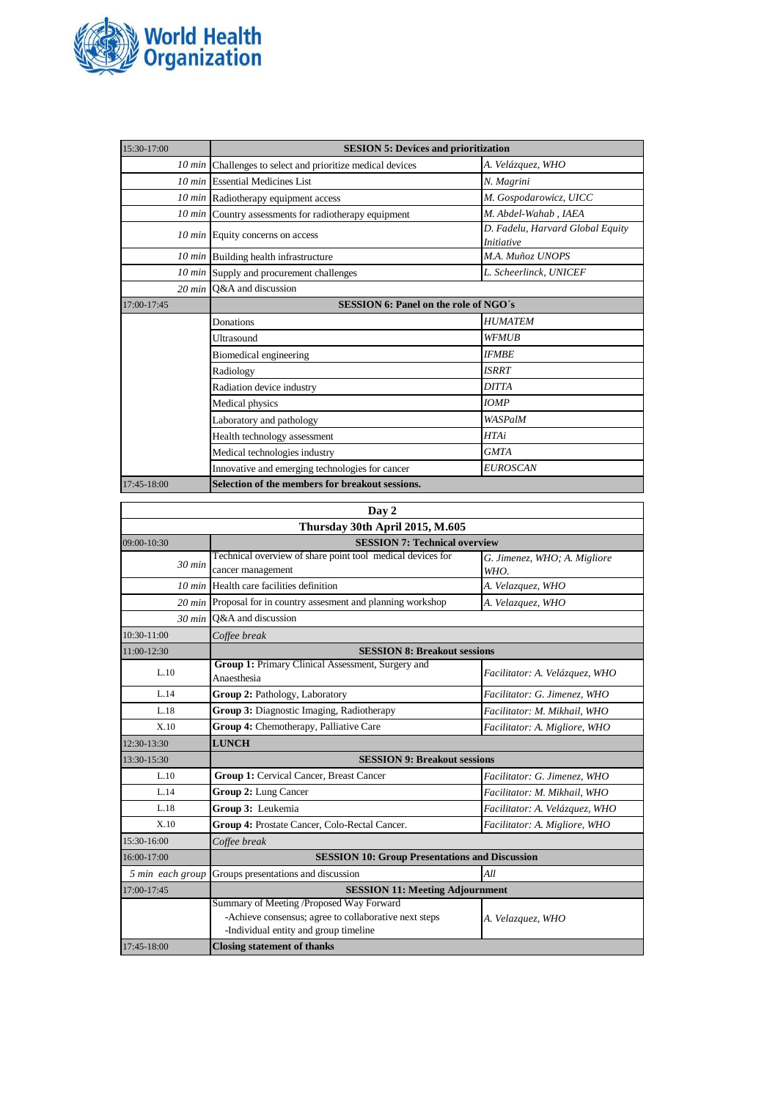

| 15:30-17:00     | <b>SESION 5: Devices and prioritization</b>                |                                                       |  |
|-----------------|------------------------------------------------------------|-------------------------------------------------------|--|
|                 | 10 min Challenges to select and prioritize medical devices | A. Velázquez, WHO                                     |  |
|                 | 10 min Essential Medicines List                            | N. Magrini                                            |  |
|                 | 10 min Radiotherapy equipment access                       | M. Gospodarowicz, UICC                                |  |
|                 | 10 min Country assessments for radiotherapy equipment      | M. Abdel-Wahab, IAEA                                  |  |
|                 | 10 min Equity concerns on access                           | D. Fadelu, Harvard Global Equity<br><i>Initiative</i> |  |
|                 | 10 min Building health infrastructure                      | M.A. Muñoz UNOPS                                      |  |
|                 | 10 min Supply and procurement challenges                   | L. Scheerlinck, UNICEF                                |  |
|                 | 20 min $O&A$ and discussion                                |                                                       |  |
| $17:00 - 17:45$ | <b>SESSION 6: Panel on the role of NGO's</b>               |                                                       |  |
|                 | Donations                                                  | <b>HUMATEM</b>                                        |  |
|                 | Ultrasound                                                 | <b>WFMUB</b>                                          |  |
|                 | Biomedical engineering                                     | <b>IFMBE</b>                                          |  |
|                 | Radiology                                                  | <b>ISRRT</b>                                          |  |
|                 | Radiation device industry                                  | <b>DITTA</b>                                          |  |
|                 | Medical physics                                            | <b>IOMP</b>                                           |  |
|                 | Laboratory and pathology                                   | WASPalM                                               |  |
|                 | Health technology assessment                               | <b>HTAi</b>                                           |  |
|                 | Medical technologies industry                              | <b>GMTA</b>                                           |  |
|                 | Innovative and emerging technologies for cancer            | <b>EUROSCAN</b>                                       |  |
| 17:45-18:00     | Selection of the members for breakout sessions.            |                                                       |  |

| Day 2                           |                                                                                                                                            |                                      |  |  |
|---------------------------------|--------------------------------------------------------------------------------------------------------------------------------------------|--------------------------------------|--|--|
| Thursday 30th April 2015, M.605 |                                                                                                                                            |                                      |  |  |
| 09:00-10:30                     | <b>SESSION 7: Technical overview</b>                                                                                                       |                                      |  |  |
| $30$ min                        | Technical overview of share point tool medical devices for<br>cancer management                                                            | G. Jimenez, WHO; A. Migliore<br>WHO. |  |  |
| $10 \text{ min}$                | Health care facilities definition                                                                                                          | A. Velazquez, WHO                    |  |  |
| $20$ min                        | Proposal for in country assesment and planning workshop                                                                                    | A. Velazquez, WHO                    |  |  |
| $30 \text{ min}$                | O&A and discussion                                                                                                                         |                                      |  |  |
| 10:30-11:00                     | Coffee break                                                                                                                               |                                      |  |  |
| 11:00-12:30                     | <b>SESSION 8: Breakout sessions</b>                                                                                                        |                                      |  |  |
| L.10                            | Group 1: Primary Clinical Assessment, Surgery and<br>Anaesthesia                                                                           | Facilitator: A. Velázquez, WHO       |  |  |
| L.14                            | Group 2: Pathology, Laboratory                                                                                                             | Facilitator: G. Jimenez, WHO         |  |  |
| L.18                            | Group 3: Diagnostic Imaging, Radiotherapy                                                                                                  | Facilitator: M. Mikhail, WHO         |  |  |
| X.10                            | Group 4: Chemotherapy, Palliative Care                                                                                                     | Facilitator: A. Migliore, WHO        |  |  |
| 12:30-13:30                     | <b>LUNCH</b>                                                                                                                               |                                      |  |  |
| 13:30-15:30                     | <b>SESSION 9: Breakout sessions</b>                                                                                                        |                                      |  |  |
| L.10                            | Group 1: Cervical Cancer, Breast Cancer                                                                                                    | Facilitator: G. Jimenez, WHO         |  |  |
| L.14                            | <b>Group 2: Lung Cancer</b>                                                                                                                | Facilitator: M. Mikhail, WHO         |  |  |
| L.18                            | Group 3: Leukemia                                                                                                                          | Facilitator: A. Velázquez, WHO       |  |  |
| X.10                            | Group 4: Prostate Cancer, Colo-Rectal Cancer.                                                                                              | Facilitator: A. Migliore, WHO        |  |  |
| 15:30-16:00                     | Coffee break                                                                                                                               |                                      |  |  |
| 16:00-17:00                     | <b>SESSION 10: Group Presentations and Discussion</b>                                                                                      |                                      |  |  |
| 5 min each group                | Groups presentations and discussion                                                                                                        | All                                  |  |  |
| 17:00-17:45                     | <b>SESSION 11: Meeting Adjournment</b>                                                                                                     |                                      |  |  |
|                                 | Summary of Meeting /Proposed Way Forward<br>-Achieve consensus; agree to collaborative next steps<br>-Individual entity and group timeline | A. Velazquez, WHO                    |  |  |
| 17:45-18:00                     | <b>Closing statement of thanks</b>                                                                                                         |                                      |  |  |